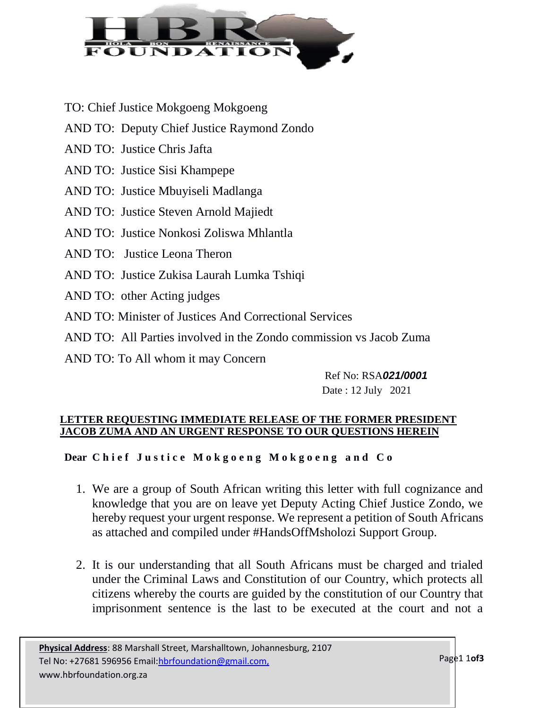

- TO: Chief Justice Mokgoeng Mokgoeng
- AND TO: Deputy Chief Justice Raymond Zondo
- AND TO: Justice Chris Jafta
- AND TO: Justice Sisi Khampepe
- AND TO: Justice Mbuyiseli Madlanga
- AND TO: Justice Steven Arnold Majiedt
- AND TO: Justice Nonkosi Zoliswa Mhlantla
- AND TO: Justice Leona Theron
- AND TO: Justice Zukisa Laurah Lumka Tshiqi
- AND TO: other Acting judges
- AND TO: Minister of Justices And Correctional Services
- AND TO: All Parties involved in the Zondo commission vs Jacob Zuma
- AND TO: To All whom it may Concern

Ref No: RSA*021/0001* Date : 12 July 2021

## **LETTER REQUESTING IMMEDIATE RELEASE OF THE FORMER PRESIDENT JACOB ZUMA AND AN URGENT RESPONSE TO OUR QUESTIONS HEREIN**

**Dear Chief Justice Mokgoeng Mokgoeng and Co** 

- 1. We are a group of South African writing this letter with full cognizance and knowledge that you are on leave yet Deputy Acting Chief Justice Zondo, we hereby request your urgent response. We represent a petition of South Africans as attached and compiled under #HandsOffMsholozi Support Group.
- 2. It is our understanding that all South Africans must be charged and trialed under the Criminal Laws and Constitution of our Country, which protects all citizens whereby the courts are guided by the constitution of our Country that imprisonment sentence is the last to be executed at the court and not a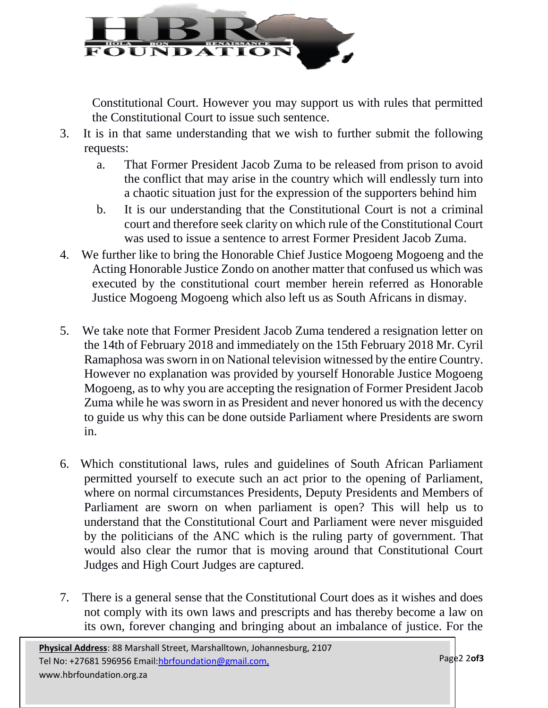

Constitutional Court. However you may support us with rules that permitted the Constitutional Court to issue such sentence.

- 3. It is in that same understanding that we wish to further submit the following requests:
	- a. That Former President Jacob Zuma to be released from prison to avoid the conflict that may arise in the country which will endlessly turn into a chaotic situation just for the expression of the supporters behind him
	- b. It is our understanding that the Constitutional Court is not a criminal court and therefore seek clarity on which rule of the Constitutional Court was used to issue a sentence to arrest Former President Jacob Zuma.
- 4. We further like to bring the Honorable Chief Justice Mogoeng Mogoeng and the Acting Honorable Justice Zondo on another matter that confused us which was executed by the constitutional court member herein referred as Honorable Justice Mogoeng Mogoeng which also left us as South Africans in dismay.
- 5. We take note that Former President Jacob Zuma tendered a resignation letter on the 14th of February 2018 and immediately on the 15th February 2018 Mr. Cyril Ramaphosa was sworn in on National television witnessed by the entire Country. However no explanation was provided by yourself Honorable Justice Mogoeng Mogoeng, as to why you are accepting the resignation of Former President Jacob Zuma while he was sworn in as President and never honored us with the decency to guide us why this can be done outside Parliament where Presidents are sworn in.
- 6. Which constitutional laws, rules and guidelines of South African Parliament permitted yourself to execute such an act prior to the opening of Parliament, where on normal circumstances Presidents, Deputy Presidents and Members of Parliament are sworn on when parliament is open? This will help us to understand that the Constitutional Court and Parliament were never misguided by the politicians of the ANC which is the ruling party of government. That would also clear the rumor that is moving around that Constitutional Court Judges and High Court Judges are captured.
- 7. There is a general sense that the Constitutional Court does as it wishes and does not comply with its own laws and prescripts and has thereby become a law on its own, forever changing and bringing about an imbalance of justice. For the